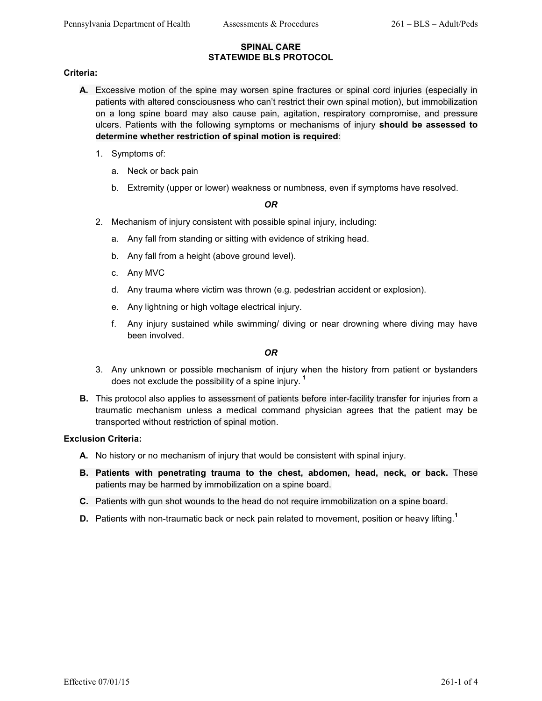#### **SPINAL CARE STATEWIDE BLS PROTOCOL**

### **Criteria:**

- **A.** Excessive motion of the spine may worsen spine fractures or spinal cord injuries (especially in patients with altered consciousness who can't restrict their own spinal motion), but immobilization on a long spine board may also cause pain, agitation, respiratory compromise, and pressure ulcers. Patients with the following symptoms or mechanisms of injury **should be assessed to determine whether restriction of spinal motion is required**:
	- 1. Symptoms of:
		- a. Neck or back pain
		- b. Extremity (upper or lower) weakness or numbness, even if symptoms have resolved.

## *OR*

- 2. Mechanism of injury consistent with possible spinal injury, including:
	- a. Any fall from standing or sitting with evidence of striking head.
	- b. Any fall from a height (above ground level).
	- c. Any MVC
	- d. Any trauma where victim was thrown (e.g. pedestrian accident or explosion).
	- e. Any lightning or high voltage electrical injury.
	- f. Any injury sustained while swimming/ diving or near drowning where diving may have been involved.

## *OR*

- 3. Any unknown or possible mechanism of injury when the history from patient or bystanders does not exclude the possibility of a spine injury. **<sup>1</sup>**
- **B.** This protocol also applies to assessment of patients before inter-facility transfer for injuries from a traumatic mechanism unless a medical command physician agrees that the patient may be transported without restriction of spinal motion.

# **Exclusion Criteria:**

- **A.** No history or no mechanism of injury that would be consistent with spinal injury.
- **B. Patients with penetrating trauma to the chest, abdomen, head, neck, or back.** These patients may be harmed by immobilization on a spine board.
- **C.** Patients with gun shot wounds to the head do not require immobilization on a spine board.
- **D.** Patients with non-traumatic back or neck pain related to movement, position or heavy lifting.**<sup>1</sup>**